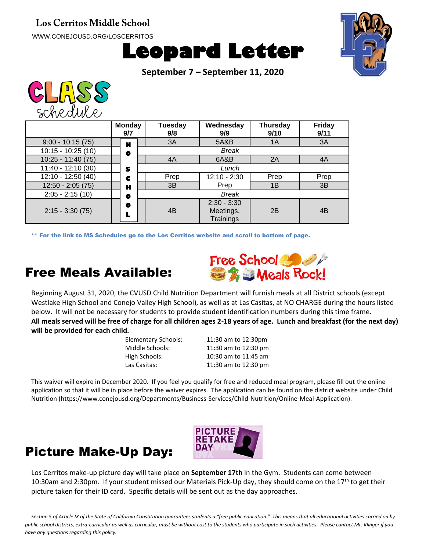## **Los Cerritos Middle School**

WWW.CONEJOUSD.ORG/LOSCERRITOS





**September 7 – September 11, 2020**



|                     | <b>Monday</b><br>9/7 | Tuesday<br>9/8 | Wednesday<br>9/9                        | <b>Thursday</b><br>9/10 | <b>Friday</b><br>9/11 |
|---------------------|----------------------|----------------|-----------------------------------------|-------------------------|-----------------------|
| $9:00 - 10:15(75)$  | N                    | 3A             | 5A&B                                    | 1A                      | 3A                    |
| $10:15 - 10:25(10)$ | ۰                    |                | <b>Break</b>                            |                         |                       |
| $10:25 - 11:40(75)$ |                      | 4A             | 6A&B                                    | 2A                      | 4A                    |
| $11:40 - 12:10(30)$ | S                    |                | Lunch                                   |                         |                       |
| $12:10 - 12:50(40)$ | c                    | Prep           | $12:10 - 2:30$                          | Prep                    | Prep                  |
| $12:50 - 2:05(75)$  | н                    | 3B             | Prep                                    | 1B                      | 3B                    |
| $2:05 - 2:15(10)$   | ۰                    |                | <b>Break</b>                            |                         |                       |
| $2:15 - 3:30(75)$   | ۰<br>L               | 4 <sub>B</sub> | $2:30 - 3:30$<br>Meetings,<br>Trainings | 2B                      | 4B                    |

\*\* For the link to MS Schedules go to the Los Cerritos website and scroll to bottom of page.

## Free Meals Available:



Beginning August 31, 2020, the CVUSD Child Nutrition Department will furnish meals at all District schools (except Westlake High School and Conejo Valley High School), as well as at Las Casitas, at NO CHARGE during the hours listed below. It will not be necessary for students to provide student identification numbers during this time frame. **All meals served will be free of charge for all children ages 2-18 years of age. Lunch and breakfast (for the next day) will be provided for each child.**

| Elementary Schools: | 11:30 am to 12:30pm  |
|---------------------|----------------------|
| Middle Schools:     | 11:30 am to 12:30 pm |
| High Schools:       | 10:30 am to 11:45 am |
| Las Casitas:        | 11:30 am to 12:30 pm |
|                     |                      |

This waiver will expire in December 2020. If you feel you qualify for free and reduced meal program, please fill out the online application so that it will be in place before the waiver expires. The application can be found on the district website under Child Nutrition (https://www.conejousd.org/Departments/Business-Services/Child-Nutrition/Online-Meal-Application).





Los Cerritos make-up picture day will take place on **September 17th** in the Gym. Students can come between 10:30am and 2:30pm. If your student missed our Materials Pick-Up day, they should come on the  $17<sup>th</sup>$  to get their picture taken for their ID card. Specific details will be sent out as the day approaches.

Section 5 of Article IX of the State of California Constitution guarantees students a "free public education." This means that all educational activities carried on by *public school districts, extra-curricular as well as curricular, must be without cost to the students who participate in such activities. Please contact Mr. Klinger if you have any questions regarding this policy.*